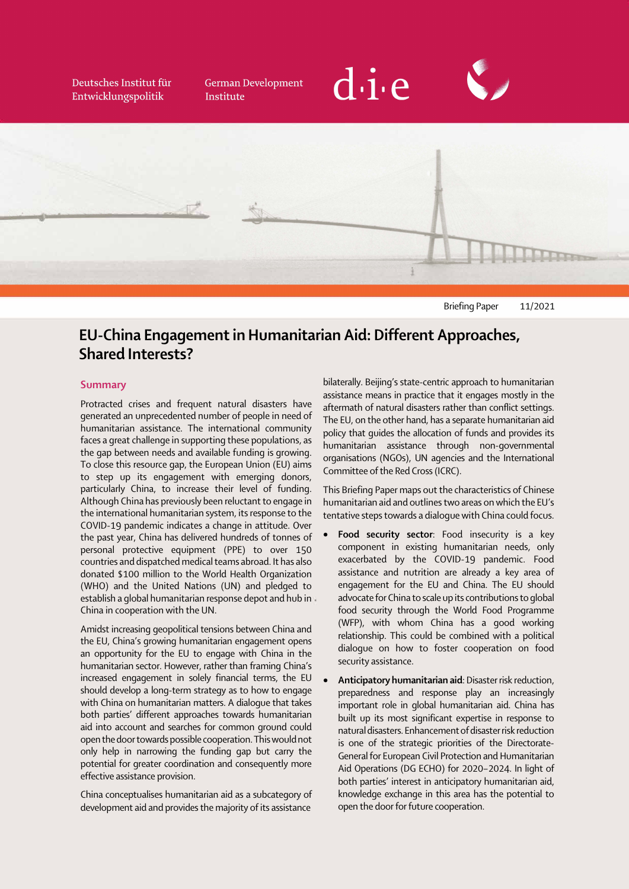Deutsches Institut für Entwicklungspolitik

**German Development** Institute





Briefing Paper 11/2021

# EU-China Engagement in Humanitarian Aid: Different Approaches, Shared Interests?

#### Summary

Protracted crises and frequent natural disasters have generated an unprecedented number of people in need of humanitarian assistance. The international community faces a great challenge in supporting these populations, as the gap between needs and available funding is growing. To close this resource gap, the European Union (EU) aims to step up its engagement with emerging donors, particularly China, to increase their level of funding. Although China has previously been reluctant to engage in the international humanitarian system, its response to the COVID-19 pandemic indicates a change in attitude. Over the past year, China has delivered hundreds of tonnes of personal protective equipment (PPE) to over 150 countries and dispatched medical teams abroad. It has also donated \$100 million to the World Health Organization (WHO) and the United Nations (UN) and pledged to establish a global humanitarian response depot and hub in China in cooperation with the UN.

 $\overline{a}$ Amidst increasing geopolitical tensions between China and the EU, China's growing humanitarian engagement opens an opportunity for the EU to engage with China in the humanitarian sector. However, rather than framing China's increased engagement in solely financial terms, the EU should develop a long-term strategy as to how to engage with China on humanitarian matters. A dialogue that takes both parties' different approaches towards humanitarian aid into account and searches for common ground could open the door towards possible cooperation. This would not only help in narrowing the funding gap but carry the potential for greater coordination and consequently more effective assistance provision.

China conceptualises humanitarian aid as a subcategory of development aid and provides the majority of its assistance

bilaterally. Beijing's state-centric approach to humanitarian assistance means in practice that it engages mostly in the aftermath of natural disasters rather than conflict settings. The EU, on the other hand, has a separate humanitarian aid policy that guides the allocation of funds and provides its humanitarian assistance through non-governmental organisations (NGOs), UN agencies and the International Committee of the Red Cross (ICRC).

This Briefing Paper maps out the characteristics of Chinese humanitarian aid and outlines two areas on which the EU's tentative steps towards a dialogue with China could focus.

- Food security sector: Food insecurity is a key component in existing humanitarian needs, only exacerbated by the COVID-19 pandemic. Food assistance and nutrition are already a key area of engagement for the EU and China. The EU should advocate for China to scale up its contributions to global food security through the World Food Programme (WFP), with whom China has a good working relationship. This could be combined with a political dialogue on how to foster cooperation on food security assistance.
- $\ddot{\phantom{0}}$ Anticipatory humanitarian aid: Disaster risk reduction, preparedness and response play an increasingly important role in global humanitarian aid. China has built up its most significant expertise in response to natural disasters. Enhancement of disaster risk reduction is one of the strategic priorities of the Directorate-General for European Civil Protection and Humanitarian Aid Operations (DG ECHO) for 2020–2024. In light of both parties' interest in anticipatory humanitarian aid, knowledge exchange in this area has the potential to open the door for future cooperation.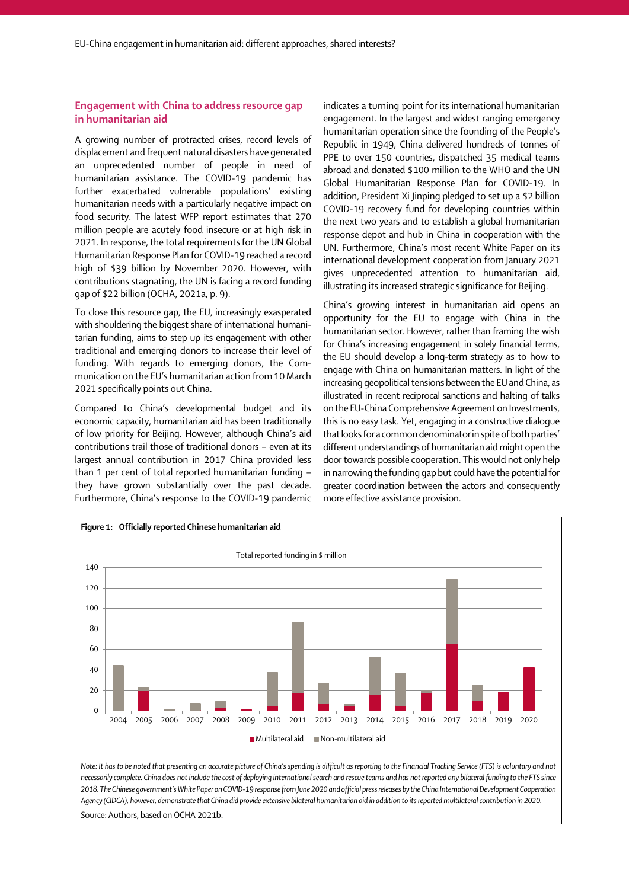# Engagement with China to address resource gap in humanitarian aid

 $\ddot{\phantom{0}}$ A growing number of protracted crises, record levels of displacement and frequent natural disasters have generated an unprecedented number of people in need of humanitarian assistance. The COVID-19 pandemic has further exacerbated vulnerable populations' existing humanitarian needs with a particularly negative impact on food security. The latest WFP report estimates that 270 million people are acutely food insecure or at high risk in 2021. In response, the total requirements for the UN Global Humanitarian Response Plan for COVID-19 reached a record high of \$39 billion by November 2020. However, with contributions stagnating, the UN is facing a record funding gap of \$22 billion (OCHA, 2021a, p. 9).

To close this resource gap, the EU, increasingly exasperated with shouldering the biggest share of international humanitarian funding, aims to step up its engagement with other traditional and emerging donors to increase their level of funding. With regards to emerging donors, the Communication on the EU's humanitarian action from 10 March 2021 specifically points out China.

Compared to China's developmental budget and its economic capacity, humanitarian aid has been traditionally of low priority for Beijing. However, although China's aid contributions trail those of traditional donors – even at its largest annual contribution in 2017 China provided less than 1 per cent of total reported humanitarian funding – they have grown substantially over the past decade. Furthermore, China's response to the COVID-19 pandemic indicates a turning point for its international humanitarian engagement. In the largest and widest ranging emergency humanitarian operation since the founding of the People's Republic in 1949, China delivered hundreds of tonnes of PPE to over 150 countries, dispatched 35 medical teams abroad and donated \$100 million to the WHO and the UN Global Humanitarian Response Plan for COVID-19. In addition, President Xi Jinping pledged to set up a \$2 billion COVID-19 recovery fund for developing countries within the next two years and to establish a global humanitarian response depot and hub in China in cooperation with the UN. Furthermore, China's most recent White Paper on its international development cooperation from January 2021 gives unprecedented attention to humanitarian aid, illustrating its increased strategic significance for Beijing.

 $\vdots$  $\vdots$ China's growing interest in humanitarian aid opens an opportunity for the EU to engage with China in the humanitarian sector. However, rather than framing the wish for China's increasing engagement in solely financial terms, the EU should develop a long-term strategy as to how to engage with China on humanitarian matters. In light of the increasing geopolitical tensions between the EU and China, as illustrated in recent reciprocal sanctions and halting of talks on the EU-China Comprehensive Agreement on Investments, this is no easy task. Yet, engaging in a constructive dialogue that looks for a common denominator in spite of both parties' different understandings of humanitarian aid might open the door towards possible cooperation. This would not only help in narrowing the funding gap but could have the potential for greater coordination between the actors and consequently more effective assistance provision.



Source: Authors, based on OCHA 2021b.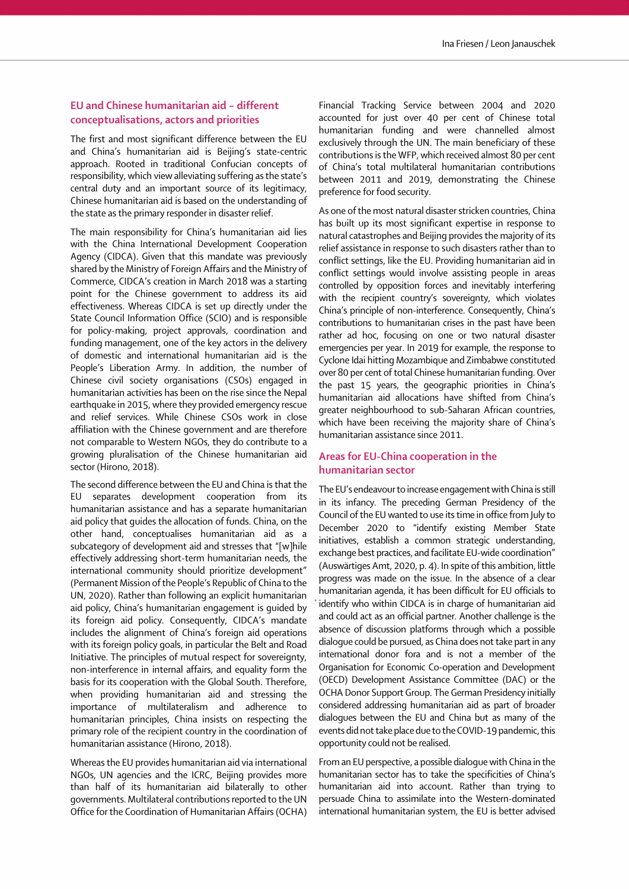# EU and Chinese humanitarian aid – different conceptualisations, actors and priorities

The first and most significant difference between the EU and China's humanitarian aid is Beijing's state-centric approach. Rooted in traditional Confucian concepts of responsibility, which view alleviating suffering as the state's central duty and an important source of its legitimacy, Chinese humanitarian aid is based on the understanding of the state as the primary responder in disaster relief.

The main responsibility for China's humanitarian aid lies with the China International Development Cooperation Agency (CIDCA). Given that this mandate was previously shared by the Ministry of Foreign Affairs and the Ministry of Commerce, CIDCA's creation in March 2018 was a starting point for the Chinese government to address its aid effectiveness. Whereas CIDCA is set up directly under the State Council Information Office (SCIO) and is responsible for policy-making, project approvals, coordination and funding management, one of the key actors in the delivery of domestic and international humanitarian aid is the People's Liberation Army. In addition, the number of Chinese civil society organisations (CSOs) engaged in humanitarian activities has been on the rise since the Nepal earthquake in 2015, where they provided emergency rescue and relief services. While Chinese CSOs work in close affiliation with the Chinese government and are therefore not comparable to Western NGOs, they do contribute to a growing pluralisation of the Chinese humanitarian aid sector (Hirono, 2018).

The second difference between the EU and China is that the EU separates development cooperation from its humanitarian assistance and has a separate humanitarian aid policy that guides the allocation of funds. China, on the other hand, conceptualises humanitarian aid as a subcategory of development aid and stresses that "[w]hile effectively addressing short-term humanitarian needs, the international community should prioritize development" (Permanent Mission of the People's Republic of China to the UN, 2020). Rather than following an explicit humanitarian aid policy, China's humanitarian engagement is guided by its foreign aid policy. Consequently, CIDCA's mandate includes the alignment of China's foreign aid operations with its foreign policy goals, in particular the Belt and Road Initiative. The principles of mutual respect for sovereignty, non-interference in internal affairs, and equality form the basis for its cooperation with the Global South. Therefore, when providing humanitarian aid and stressing the importance of multilateralism and adherence to humanitarian principles, China insists on respecting the primary role of the recipient country in the coordination of humanitarian assistance (Hirono, 2018).

Whereas the EU provides humanitarian aid via international NGOs, UN agencies and the ICRC, Beijing provides more than half of its humanitarian aid bilaterally to other governments. Multilateral contributions reported to the UN Office for the Coordination of Humanitarian Affairs (OCHA)

 $\overline{a}$ Financial Tracking Service between 2004 and 2020 accounted for just over 40 per cent of Chinese total humanitarian funding and were channelled almost exclusively through the UN. The main beneficiary of these contributions is the WFP, which received almost 80 per cent of China's total multilateral humanitarian contributions between 2011 and 2019, demonstrating the Chinese preference for food security.

As one of the most natural disaster stricken countries, China has built up its most significant expertise in response to natural catastrophes and Beijing provides the majority of its relief assistance in response to such disasters rather than to conflict settings, like the EU. Providing humanitarian aid in conflict settings would involve assisting people in areas controlled by opposition forces and inevitably interfering with the recipient country's sovereignty, which violates China's principle of non-interference. Consequently, China's contributions to humanitarian crises in the past have been rather ad hoc, focusing on one or two natural disaster emergencies per year. In 2019 for example, the response to Cyclone Idai hitting Mozambique and Zimbabwe constituted over 80 per cent of total Chinese humanitarian funding. Over the past 15 years, the geographic priorities in China's humanitarian aid allocations have shifted from China's greater neighbourhood to sub-Saharan African countries, which have been receiving the majority share of China's humanitarian assistance since 2011.

## Areas for EU-China cooperation in the humanitarian sector

 $\ddot{\phantom{0}}$  $\cdot$ The EU's endeavour to increase engagement with China is still in its infancy. The preceding German Presidency of the Council of the EU wanted to use its time in office from July to December 2020 to "identify existing Member State initiatives, establish a common strategic understanding, exchange best practices, and facilitate EU-wide coordination" (Auswärtiges Amt, 2020, p. 4). In spite of this ambition, little progress was made on the issue. In the absence of a clear humanitarian agenda, it has been difficult for EU officials to identify who within CIDCA is in charge of humanitarian aid and could act as an official partner. Another challenge is the absence of discussion platforms through which a possible dialogue could be pursued, as China does not take part in any international donor fora and is not a member of the Organisation for Economic Co-operation and Development (OECD) Development Assistance Committee (DAC) or the OCHA Donor Support Group. The German Presidency initially considered addressing humanitarian aid as part of broader dialogues between the EU and China but as many of the events did not take place due to the COVID-19 pandemic, this opportunity could not be realised.

 $\ddot{\phantom{0}}$ From an EU perspective, a possible dialogue with China in the humanitarian sector has to take the specificities of China's humanitarian aid into account. Rather than trying to persuade China to assimilate into the Western-dominated international humanitarian system, the EU is better advised